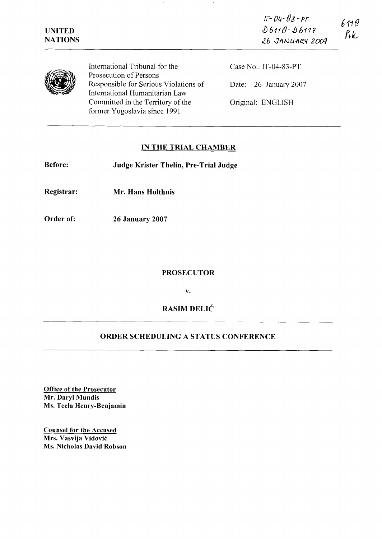$15 - 04 - 03 - 15$ 6110  $D6110 - D6117$  $R_k$ 



International Tribunal for the Case No.: IT-04-83-PT<br>Prosecution of Persons<br>Responsible for Serious Violations of Date: 26 January 200 Responsible for Serious Violations of Date: 26 January 2007 International Humanitarian Law Committed in the Territory of the Original: ENGLISH former Yugoslavia since 1991

# **IN THE TRIAL CHAMBER**

**Before: Judge Krister Thelin, Pre-Trial Judge** 

**Registrar: Mr. Hans Holthuis** 

**Order of: 26 January 2007** 

#### **PROSECUTOR**

**v.** 

# **RASIM DELIC**  - - --

### **ORDER SCHEDULING A STATUS CONFERENCE**

**Office of the Prosecutor Mr. Daryl Mundis Ms. Tecla Henry-Benjamin** 

**Counsel for the Accused Mrs. Vasvija Vidović Ms. Nicholas David Robson**